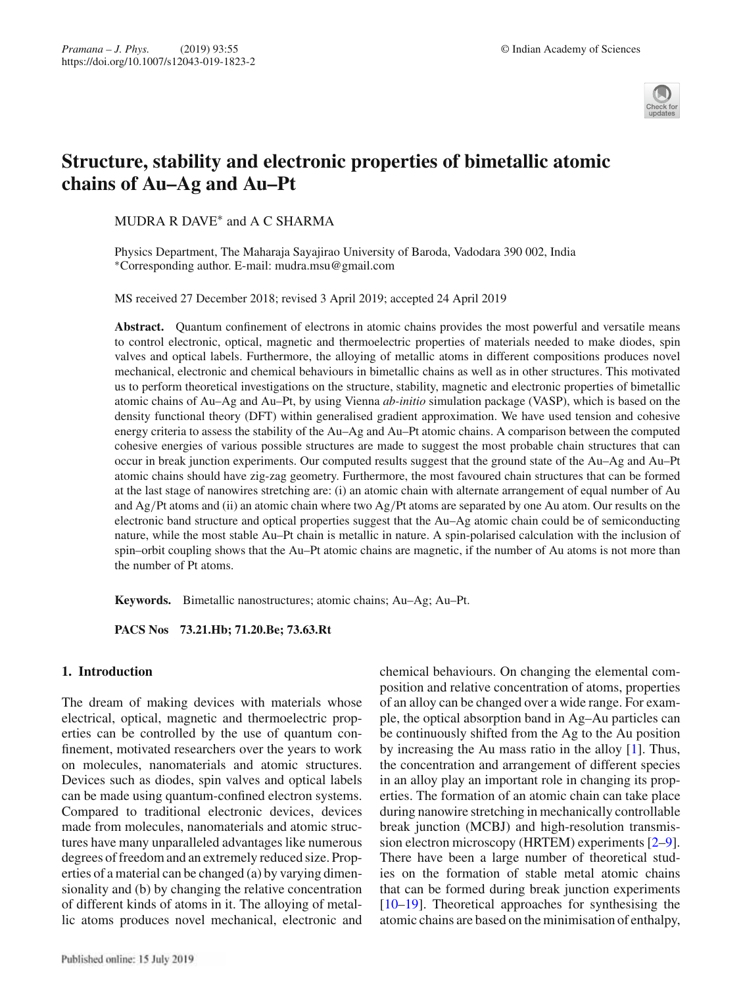

# **Structure, stability and electronic properties of bimetallic atomic chains of Au–Ag and Au–Pt**

MUDRA R DAVE∗ and A C SHARMA

Physics Department, The Maharaja Sayajirao University of Baroda, Vadodara 390 002, India ∗Corresponding author. E-mail: mudra.msu@gmail.com

MS received 27 December 2018; revised 3 April 2019; accepted 24 April 2019

**Abstract.** Quantum confinement of electrons in atomic chains provides the most powerful and versatile means to control electronic, optical, magnetic and thermoelectric properties of materials needed to make diodes, spin valves and optical labels. Furthermore, the alloying of metallic atoms in different compositions produces novel mechanical, electronic and chemical behaviours in bimetallic chains as well as in other structures. This motivated us to perform theoretical investigations on the structure, stability, magnetic and electronic properties of bimetallic atomic chains of Au–Ag and Au–Pt, by using Vienna *ab-initio* simulation package (VASP), which is based on the density functional theory (DFT) within generalised gradient approximation. We have used tension and cohesive energy criteria to assess the stability of the Au–Ag and Au–Pt atomic chains. A comparison between the computed cohesive energies of various possible structures are made to suggest the most probable chain structures that can occur in break junction experiments. Our computed results suggest that the ground state of the Au–Ag and Au–Pt atomic chains should have zig-zag geometry. Furthermore, the most favoured chain structures that can be formed at the last stage of nanowires stretching are: (i) an atomic chain with alternate arrangement of equal number of Au and Ag/Pt atoms and (ii) an atomic chain where two Ag/Pt atoms are separated by one Au atom. Our results on the electronic band structure and optical properties suggest that the Au–Ag atomic chain could be of semiconducting nature, while the most stable Au–Pt chain is metallic in nature. A spin-polarised calculation with the inclusion of spin–orbit coupling shows that the Au–Pt atomic chains are magnetic, if the number of Au atoms is not more than the number of Pt atoms.

**Keywords.** Bimetallic nanostructures; atomic chains; Au–Ag; Au–Pt.

**PACS Nos 73.21.Hb; 71.20.Be; 73.63.Rt**

# **1. Introduction**

The dream of making devices with materials whose electrical, optical, magnetic and thermoelectric properties can be controlled by the use of quantum confinement, motivated researchers over the years to work on molecules, nanomaterials and atomic structures. Devices such as diodes, spin valves and optical labels can be made using quantum-confined electron systems. Compared to traditional electronic devices, devices made from molecules, nanomaterials and atomic structures have many unparalleled advantages like numerous degrees of freedom and an extremely reduced size. Properties of a material can be changed (a) by varying dimensionality and (b) by changing the relative concentration of different kinds of atoms in it. The alloying of metallic atoms produces novel mechanical, electronic and chemical behaviours. On changing the elemental composition and relative concentration of atoms, properties of an alloy can be changed over a wide range. For example, the optical absorption band in Ag–Au particles can be continuously shifted from the Ag to the Au position by increasing the Au mass ratio in the alloy [1]. Thus, the concentration and arrangement of different species in an alloy play an important role in changing its properties. The formation of an atomic chain can take place during nanowire stretching in mechanically controllable break junction (MCBJ) and high-resolution transmission electron microscopy (HRTEM) experiments [2–9]. There have been a large number of theoretical studies on the formation of stable metal atomic chains that can be formed during break junction experiments [10–19]. Theoretical approaches for synthesising the atomic chains are based on the minimisation of enthalpy,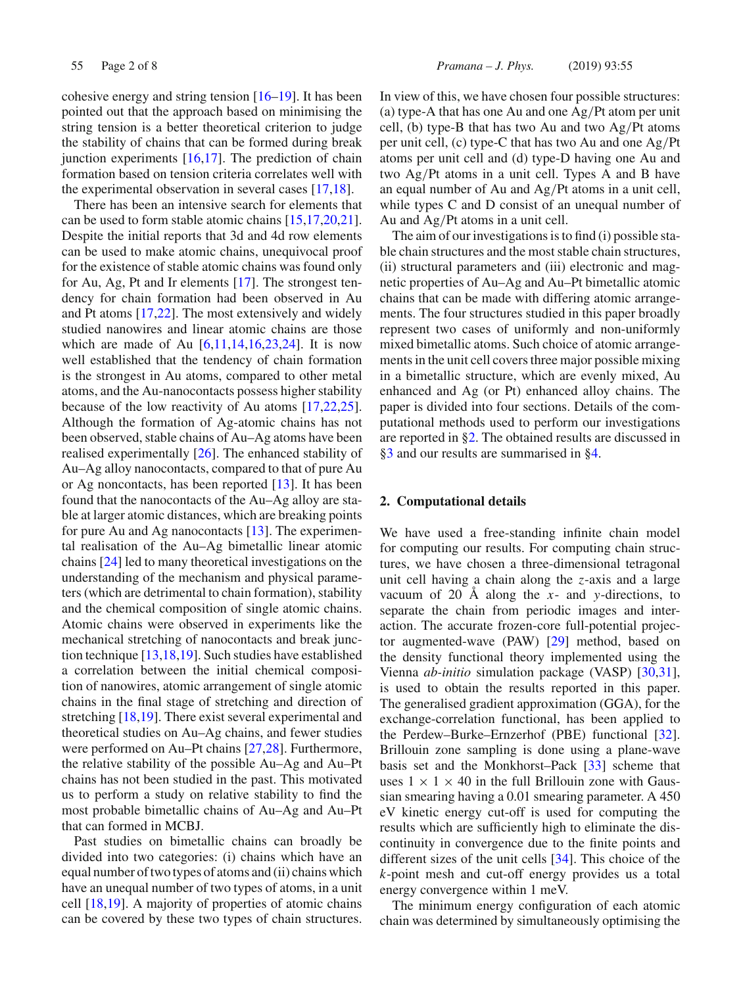cohesive energy and string tension [16–19]. It has been pointed out that the approach based on minimising the string tension is a better theoretical criterion to judge the stability of chains that can be formed during break junction experiments [16,17]. The prediction of chain formation based on tension criteria correlates well with the experimental observation in several cases [17,18].

There has been an intensive search for elements that can be used to form stable atomic chains [15,17,20,21]. Despite the initial reports that 3d and 4d row elements can be used to make atomic chains, unequivocal proof for the existence of stable atomic chains was found only for Au, Ag, Pt and Ir elements [17]. The strongest tendency for chain formation had been observed in Au and Pt atoms [17,22]. The most extensively and widely studied nanowires and linear atomic chains are those which are made of Au  $[6,11,14,16,23,24]$ . It is now well established that the tendency of chain formation is the strongest in Au atoms, compared to other metal atoms, and the Au-nanocontacts possess higher stability because of the low reactivity of Au atoms [17,22,25]. Although the formation of Ag-atomic chains has not been observed, stable chains of Au–Ag atoms have been realised experimentally [26]. The enhanced stability of Au–Ag alloy nanocontacts, compared to that of pure Au or Ag noncontacts, has been reported [13]. It has been found that the nanocontacts of the Au–Ag alloy are stable at larger atomic distances, which are breaking points for pure Au and Ag nanocontacts [13]. The experimental realisation of the Au–Ag bimetallic linear atomic chains [24] led to many theoretical investigations on the understanding of the mechanism and physical parameters (which are detrimental to chain formation), stability and the chemical composition of single atomic chains. Atomic chains were observed in experiments like the mechanical stretching of nanocontacts and break junction technique [13,18,19]. Such studies have established a correlation between the initial chemical composition of nanowires, atomic arrangement of single atomic chains in the final stage of stretching and direction of stretching [18,19]. There exist several experimental and theoretical studies on Au–Ag chains, and fewer studies were performed on Au–Pt chains [27,28]. Furthermore, the relative stability of the possible Au–Ag and Au–Pt chains has not been studied in the past. This motivated us to perform a study on relative stability to find the most probable bimetallic chains of Au–Ag and Au–Pt that can formed in MCBJ.

Past studies on bimetallic chains can broadly be divided into two categories: (i) chains which have an equal number of two types of atoms and (ii) chains which have an unequal number of two types of atoms, in a unit cell [18,19]. A majority of properties of atomic chains can be covered by these two types of chain structures. In view of this, we have chosen four possible structures: (a) type-A that has one Au and one Ag/Pt atom per unit cell, (b) type-B that has two Au and two Ag/Pt atoms per unit cell, (c) type-C that has two Au and one Ag/Pt atoms per unit cell and (d) type-D having one Au and two Ag/Pt atoms in a unit cell. Types A and B have an equal number of Au and Ag/Pt atoms in a unit cell, while types C and D consist of an unequal number of Au and Ag/Pt atoms in a unit cell.

The aim of our investigations is to find (i) possible stable chain structures and the most stable chain structures, (ii) structural parameters and (iii) electronic and magnetic properties of Au–Ag and Au–Pt bimetallic atomic chains that can be made with differing atomic arrangements. The four structures studied in this paper broadly represent two cases of uniformly and non-uniformly mixed bimetallic atoms. Such choice of atomic arrangements in the unit cell covers three major possible mixing in a bimetallic structure, which are evenly mixed, Au enhanced and Ag (or Pt) enhanced alloy chains. The paper is divided into four sections. Details of the computational methods used to perform our investigations are reported in §2. The obtained results are discussed in §3 and our results are summarised in §4.

#### **2. Computational details**

We have used a free-standing infinite chain model for computing our results. For computing chain structures, we have chosen a three-dimensional tetragonal unit cell having a chain along the *z*-axis and a large vacuum of 20 Å along the *x*- and *y*-directions, to separate the chain from periodic images and interaction. The accurate frozen-core full-potential projector augmented-wave (PAW) [29] method, based on the density functional theory implemented using the Vienna *ab-initio* simulation package (VASP) [30,31], is used to obtain the results reported in this paper. The generalised gradient approximation (GGA), for the exchange-correlation functional, has been applied to the Perdew–Burke–Ernzerhof (PBE) functional [32]. Brillouin zone sampling is done using a plane-wave basis set and the Monkhorst–Pack [33] scheme that uses  $1 \times 1 \times 40$  in the full Brillouin zone with Gaussian smearing having a 0.01 smearing parameter. A 450 eV kinetic energy cut-off is used for computing the results which are sufficiently high to eliminate the discontinuity in convergence due to the finite points and different sizes of the unit cells [34]. This choice of the *k*-point mesh and cut-off energy provides us a total energy convergence within 1 meV.

The minimum energy configuration of each atomic chain was determined by simultaneously optimising the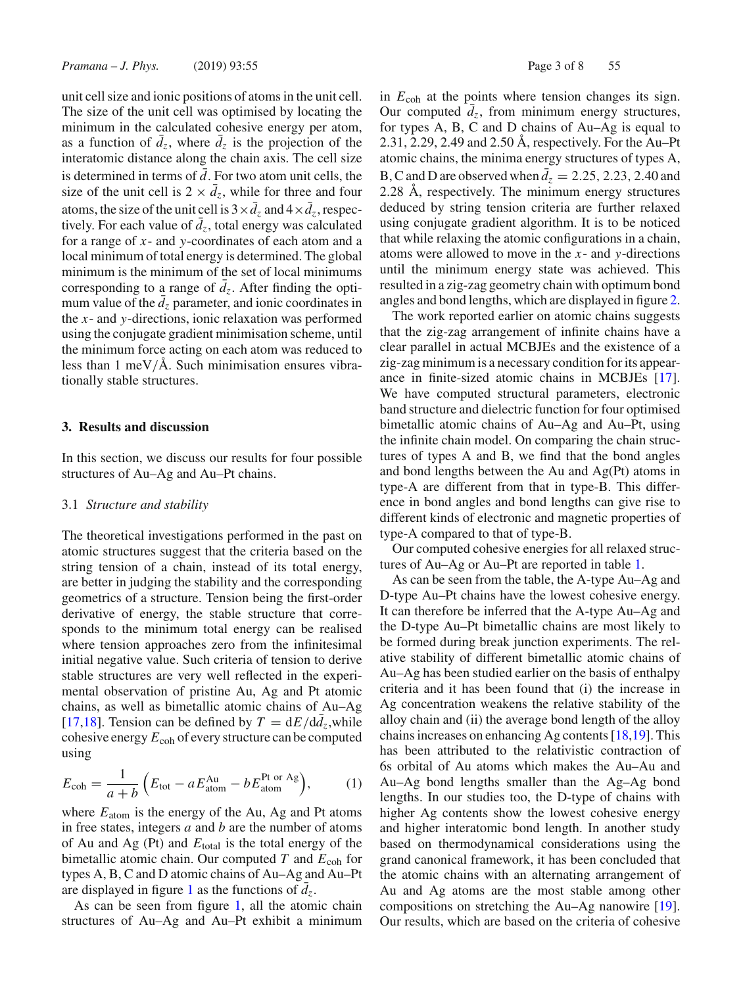unit cell size and ionic positions of atoms in the unit cell. The size of the unit cell was optimised by locating the minimum in the calculated cohesive energy per atom, as a function of  $d_z$ , where  $d_z$  is the projection of the interatomic distance along the chain axis. The cell size is determined in terms of  $\bar{d}$ . For two atom unit cells, the size of the unit cell is  $2 \times d_z$ , while for three and four atoms, the size of the unit cell is  $3 \times d_z$  and  $4 \times d_z$ , respectively. For each value of  $d_z$ , total energy was calculated for a range of *x*- and *y*-coordinates of each atom and a local minimum of total energy is determined. The global minimum is the minimum of the set of local minimums corresponding to a range of  $d_z$ . After finding the optimum value of the  $d_z$  parameter, and ionic coordinates in the *x*- and *y*-directions, ionic relaxation was performed using the conjugate gradient minimisation scheme, until the minimum force acting on each atom was reduced to less than  $1 \text{ meV/A}$ . Such minimisation ensures vibrationally stable structures.

## **3. Results and discussion**

In this section, we discuss our results for four possible structures of Au–Ag and Au–Pt chains.

### 3.1 *Structure and stability*

The theoretical investigations performed in the past on atomic structures suggest that the criteria based on the string tension of a chain, instead of its total energy, are better in judging the stability and the corresponding geometrics of a structure. Tension being the first-order derivative of energy, the stable structure that corresponds to the minimum total energy can be realised where tension approaches zero from the infinitesimal initial negative value. Such criteria of tension to derive stable structures are very well reflected in the experimental observation of pristine Au, Ag and Pt atomic chains, as well as bimetallic atomic chains of Au–Ag [17,18]. Tension can be defined by  $T = dE/dd_z$ , while cohesive energy *E*coh of every structure can be computed using

$$
E_{\rm coh} = \frac{1}{a+b} \left( E_{\rm tot} - a E_{\rm atom}^{\rm Au} - b E_{\rm atom}^{\rm Pt \ or \ Ag} \right),\tag{1}
$$

where  $E_{atom}$  is the energy of the Au, Ag and Pt atoms in free states, integers *a* and *b* are the number of atoms of Au and Ag (Pt) and  $E_{total}$  is the total energy of the bimetallic atomic chain. Our computed  $T$  and  $E_{coh}$  for types A, B, C and D atomic chains of Au–Ag and Au–Pt are displayed in figure 1 as the functions of  $d_z$ .

As can be seen from figure 1, all the atomic chain structures of Au–Ag and Au–Pt exhibit a minimum in *E*coh at the points where tension changes its sign. Our computed  $d_z$ , from minimum energy structures, for types A, B, C and D chains of Au–Ag is equal to 2.31, 2.29, 2.49 and 2.50 Å, respectively. For the Au–Pt atomic chains, the minima energy structures of types A, B, C and D are observed when  $d_z = 2.25, 2.23, 2.40$  and 2.28 Å, respectively. The minimum energy structures deduced by string tension criteria are further relaxed using conjugate gradient algorithm. It is to be noticed that while relaxing the atomic configurations in a chain, atoms were allowed to move in the *x*- and *y*-directions until the minimum energy state was achieved. This resulted in a zig-zag geometry chain with optimum bond angles and bond lengths, which are displayed in figure 2.

The work reported earlier on atomic chains suggests that the zig-zag arrangement of infinite chains have a clear parallel in actual MCBJEs and the existence of a zig-zag minimum is a necessary condition for its appearance in finite-sized atomic chains in MCBJEs [17]. We have computed structural parameters, electronic band structure and dielectric function for four optimised bimetallic atomic chains of Au–Ag and Au–Pt, using the infinite chain model. On comparing the chain structures of types A and B, we find that the bond angles and bond lengths between the Au and Ag(Pt) atoms in type-A are different from that in type-B. This difference in bond angles and bond lengths can give rise to different kinds of electronic and magnetic properties of type-A compared to that of type-B.

Our computed cohesive energies for all relaxed structures of Au–Ag or Au–Pt are reported in table 1.

As can be seen from the table, the A-type Au–Ag and D-type Au–Pt chains have the lowest cohesive energy. It can therefore be inferred that the A-type Au–Ag and the D-type Au–Pt bimetallic chains are most likely to be formed during break junction experiments. The relative stability of different bimetallic atomic chains of Au–Ag has been studied earlier on the basis of enthalpy criteria and it has been found that (i) the increase in Ag concentration weakens the relative stability of the alloy chain and (ii) the average bond length of the alloy chains increases on enhancing Ag contents [18,19]. This has been attributed to the relativistic contraction of 6s orbital of Au atoms which makes the Au–Au and Au–Ag bond lengths smaller than the Ag–Ag bond lengths. In our studies too, the D-type of chains with higher Ag contents show the lowest cohesive energy and higher interatomic bond length. In another study based on thermodynamical considerations using the grand canonical framework, it has been concluded that the atomic chains with an alternating arrangement of Au and Ag atoms are the most stable among other compositions on stretching the Au–Ag nanowire [19]. Our results, which are based on the criteria of cohesive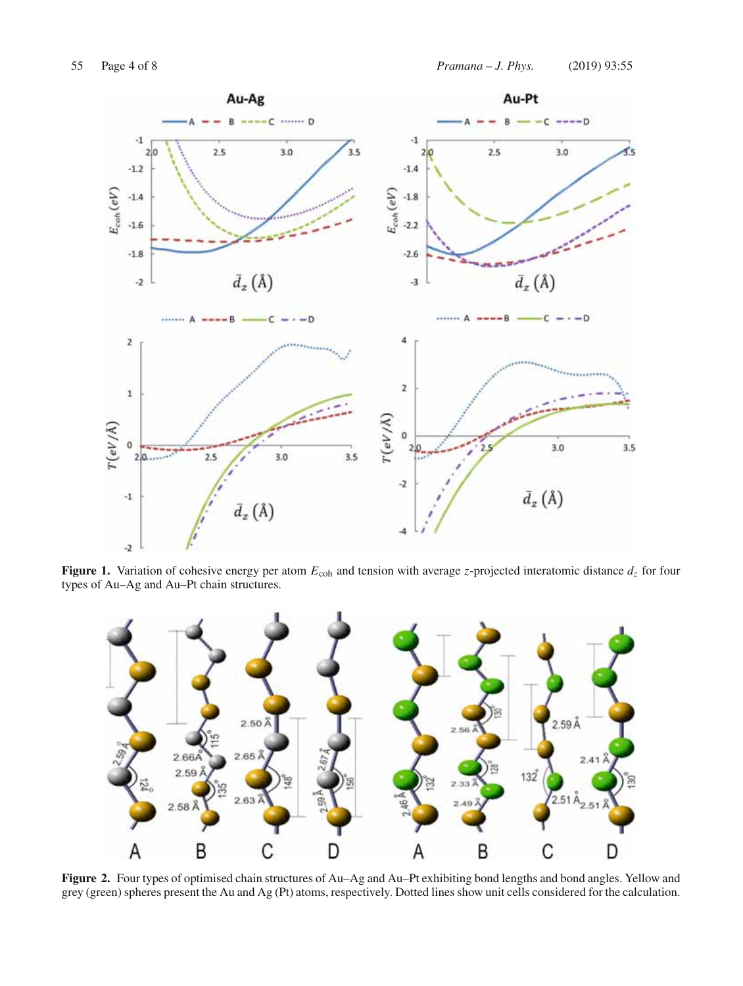

**Figure 1.** Variation of cohesive energy per atom  $E_{coh}$  and tension with average *z*-projected interatomic distance  $d_z$  for four types of Au–Ag and Au–Pt chain structures.



**Figure 2.** Four types of optimised chain structures of Au–Ag and Au–Pt exhibiting bond lengths and bond angles. Yellow and grey (green) spheres present the Au and Ag (Pt) atoms, respectively. Dotted lines show unit cells considered for the calculation.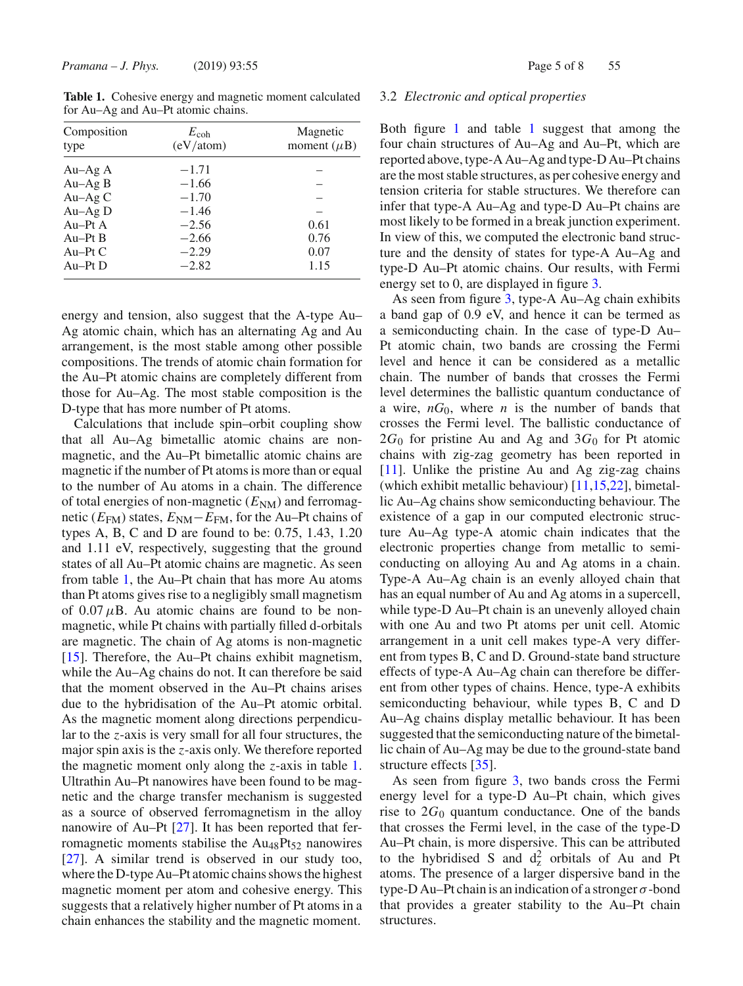**Table 1.** Cohesive energy and magnetic moment calculated for Au–Ag and Au–Pt atomic chains.

| Composition<br>type | $E_{\rm coh}$<br>(eV/atom) | Magnetic<br>moment $(\mu B)$ |
|---------------------|----------------------------|------------------------------|
| Au $-AgA$           | $-1.71$                    |                              |
| $Au-AgB$            | $-1.66$                    |                              |
| $Au-AgC$            | $-1.70$                    |                              |
| $Au-AgD$            | $-1.46$                    |                              |
| $Au-PtA$            | $-2.56$                    | 0.61                         |
| $Au-PtB$            | $-2.66$                    | 0.76                         |
| $Au-PtC$            | $-2.29$                    | 0.07                         |
| $Au-PtD$            | $-2.82$                    | 1.15                         |

energy and tension, also suggest that the A-type Au– Ag atomic chain, which has an alternating Ag and Au arrangement, is the most stable among other possible compositions. The trends of atomic chain formation for the Au–Pt atomic chains are completely different from those for Au–Ag. The most stable composition is the D-type that has more number of Pt atoms.

Calculations that include spin–orbit coupling show that all Au–Ag bimetallic atomic chains are nonmagnetic, and the Au–Pt bimetallic atomic chains are magnetic if the number of Pt atoms is more than or equal to the number of Au atoms in a chain. The difference of total energies of non-magnetic ( $E<sub>NM</sub>$ ) and ferromagnetic ( $E_{FM}$ ) states,  $E_{NM}$ − $E_{FM}$ , for the Au–Pt chains of types A, B, C and D are found to be: 0.75, 1.43, 1.20 and 1.11 eV, respectively, suggesting that the ground states of all Au–Pt atomic chains are magnetic. As seen from table 1, the Au–Pt chain that has more Au atoms than Pt atoms gives rise to a negligibly small magnetism of  $0.07 \mu B$ . Au atomic chains are found to be nonmagnetic, while Pt chains with partially filled d-orbitals are magnetic. The chain of Ag atoms is non-magnetic [15]. Therefore, the Au–Pt chains exhibit magnetism, while the Au–Ag chains do not. It can therefore be said that the moment observed in the Au–Pt chains arises due to the hybridisation of the Au–Pt atomic orbital. As the magnetic moment along directions perpendicular to the *z*-axis is very small for all four structures, the major spin axis is the *z*-axis only. We therefore reported the magnetic moment only along the *z*-axis in table 1. Ultrathin Au–Pt nanowires have been found to be magnetic and the charge transfer mechanism is suggested as a source of observed ferromagnetism in the alloy nanowire of Au–Pt [27]. It has been reported that ferromagnetic moments stabilise the  $Au_{48}Pt_{52}$  nanowires [27]. A similar trend is observed in our study too, where the D-type Au–Pt atomic chains shows the highest magnetic moment per atom and cohesive energy. This suggests that a relatively higher number of Pt atoms in a chain enhances the stability and the magnetic moment.

#### 3.2 *Electronic and optical properties*

Both figure 1 and table 1 suggest that among the four chain structures of Au–Ag and Au–Pt, which are reported above, type-A Au–Ag and type-D Au–Pt chains are the most stable structures, as per cohesive energy and tension criteria for stable structures. We therefore can infer that type-A Au–Ag and type-D Au–Pt chains are most likely to be formed in a break junction experiment. In view of this, we computed the electronic band structure and the density of states for type-A Au–Ag and type-D Au–Pt atomic chains. Our results, with Fermi energy set to 0, are displayed in figure 3.

As seen from figure 3, type-A Au–Ag chain exhibits a band gap of 0.9 eV, and hence it can be termed as a semiconducting chain. In the case of type-D Au– Pt atomic chain, two bands are crossing the Fermi level and hence it can be considered as a metallic chain. The number of bands that crosses the Fermi level determines the ballistic quantum conductance of a wire, *nG*0, where *n* is the number of bands that crosses the Fermi level. The ballistic conductance of  $2G_0$  for pristine Au and Ag and  $3G_0$  for Pt atomic chains with zig-zag geometry has been reported in [11]. Unlike the pristine Au and Ag zig-zag chains (which exhibit metallic behaviour) [11,15,22], bimetallic Au–Ag chains show semiconducting behaviour. The existence of a gap in our computed electronic structure Au–Ag type-A atomic chain indicates that the electronic properties change from metallic to semiconducting on alloying Au and Ag atoms in a chain. Type-A Au–Ag chain is an evenly alloyed chain that has an equal number of Au and Ag atoms in a supercell, while type-D Au–Pt chain is an unevenly alloyed chain with one Au and two Pt atoms per unit cell. Atomic arrangement in a unit cell makes type-A very different from types B, C and D. Ground-state band structure effects of type-A Au–Ag chain can therefore be different from other types of chains. Hence, type-A exhibits semiconducting behaviour, while types B, C and D Au–Ag chains display metallic behaviour. It has been suggested that the semiconducting nature of the bimetallic chain of Au–Ag may be due to the ground-state band structure effects [35].

As seen from figure 3, two bands cross the Fermi energy level for a type-D Au–Pt chain, which gives rise to  $2G_0$  quantum conductance. One of the bands that crosses the Fermi level, in the case of the type-D Au–Pt chain, is more dispersive. This can be attributed to the hybridised S and  $d_z^2$  orbitals of Au and Pt atoms. The presence of a larger dispersive band in the type-D Au–Pt chain is an indication of a stronger  $\sigma$ -bond that provides a greater stability to the Au–Pt chain structures.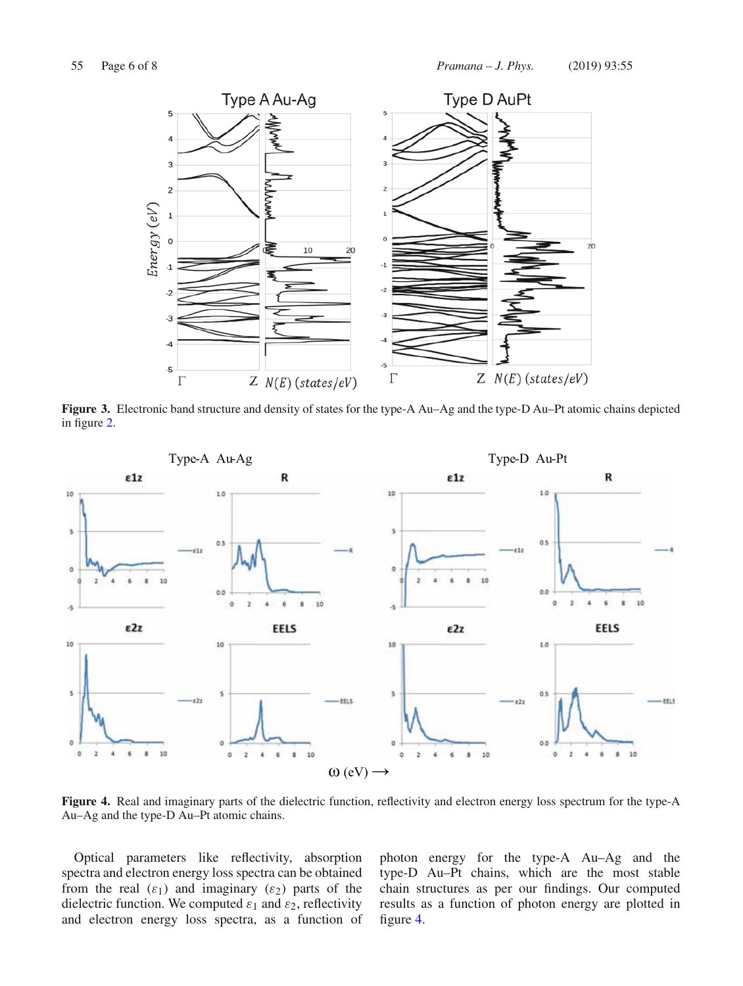

**Figure 3.** Electronic band structure and density of states for the type-A Au–Ag and the type-D Au–Pt atomic chains depicted in figure 2.



**Figure 4.** Real and imaginary parts of the dielectric function, reflectivity and electron energy loss spectrum for the type-A Au–Ag and the type-D Au–Pt atomic chains.

Optical parameters like reflectivity, absorption spectra and electron energy loss spectra can be obtained from the real  $(\varepsilon_1)$  and imaginary  $(\varepsilon_2)$  parts of the dielectric function. We computed  $\varepsilon_1$  and  $\varepsilon_2$ , reflectivity and electron energy loss spectra, as a function of

photon energy for the type-A Au–Ag and the type-D Au–Pt chains, which are the most stable chain structures as per our findings. Our computed results as a function of photon energy are plotted in figure 4.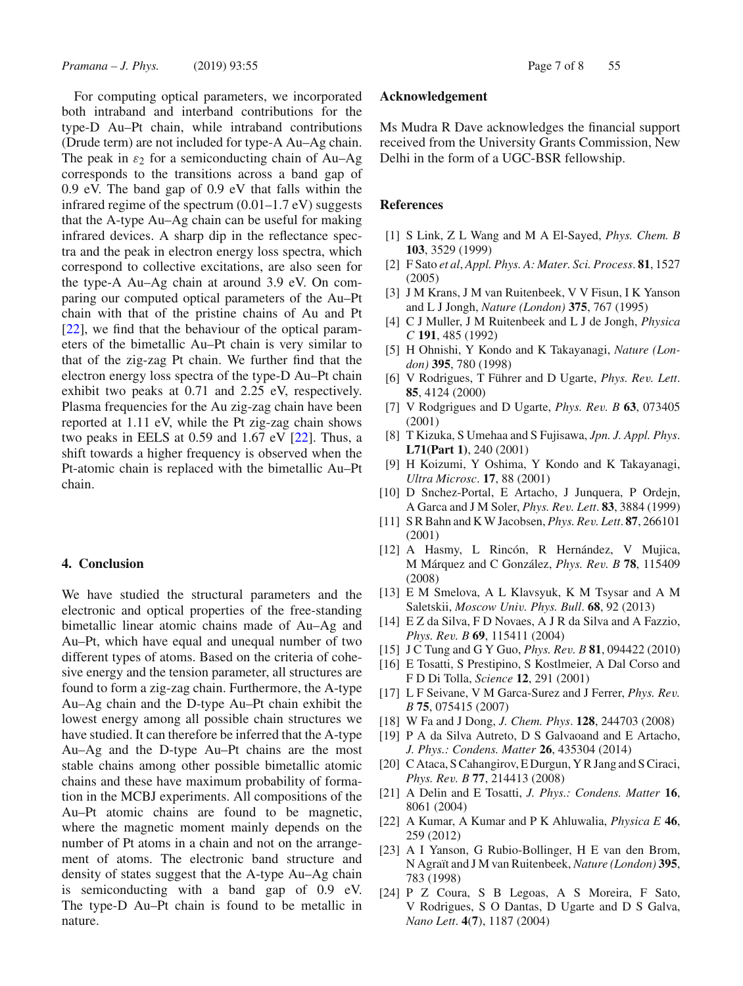For computing optical parameters, we incorporated both intraband and interband contributions for the type-D Au–Pt chain, while intraband contributions (Drude term) are not included for type-A Au–Ag chain. The peak in  $\varepsilon_2$  for a semiconducting chain of Au–Ag corresponds to the transitions across a band gap of 0.9 eV. The band gap of 0.9 eV that falls within the infrared regime of the spectrum  $(0.01-1.7 \text{ eV})$  suggests that the A-type Au–Ag chain can be useful for making infrared devices. A sharp dip in the reflectance spectra and the peak in electron energy loss spectra, which correspond to collective excitations, are also seen for the type-A Au–Ag chain at around 3.9 eV. On comparing our computed optical parameters of the Au–Pt chain with that of the pristine chains of Au and Pt [22], we find that the behaviour of the optical parameters of the bimetallic Au–Pt chain is very similar to that of the zig-zag Pt chain. We further find that the electron energy loss spectra of the type-D Au–Pt chain exhibit two peaks at 0.71 and 2.25 eV, respectively. Plasma frequencies for the Au zig-zag chain have been reported at 1.11 eV, while the Pt zig-zag chain shows two peaks in EELS at 0.59 and 1.67 eV [22]. Thus, a shift towards a higher frequency is observed when the Pt-atomic chain is replaced with the bimetallic Au–Pt chain.

## **4. Conclusion**

We have studied the structural parameters and the electronic and optical properties of the free-standing bimetallic linear atomic chains made of Au–Ag and Au–Pt, which have equal and unequal number of two different types of atoms. Based on the criteria of cohesive energy and the tension parameter, all structures are found to form a zig-zag chain. Furthermore, the A-type Au–Ag chain and the D-type Au–Pt chain exhibit the lowest energy among all possible chain structures we have studied. It can therefore be inferred that the A-type Au–Ag and the D-type Au–Pt chains are the most stable chains among other possible bimetallic atomic chains and these have maximum probability of formation in the MCBJ experiments. All compositions of the Au–Pt atomic chains are found to be magnetic, where the magnetic moment mainly depends on the number of Pt atoms in a chain and not on the arrangement of atoms. The electronic band structure and density of states suggest that the A-type Au–Ag chain is semiconducting with a band gap of 0.9 eV. The type-D Au–Pt chain is found to be metallic in nature.

#### **Acknowledgement**

Ms Mudra R Dave acknowledges the financial support received from the University Grants Commission, New Delhi in the form of a UGC-BSR fellowship.

### **References**

- [1] S Link, Z L Wang and M A El-Sayed, *Phys. Chem. B* **103**, 3529 (1999)
- [2] F Sato *et al*, *Appl. Phys. A: Mater. Sci. Process*. **81**, 1527 (2005)
- [3] J M Krans, J M van Ruitenbeek, V V Fisun, I K Yanson and L J Jongh, *Nature (London)* **375**, 767 (1995)
- [4] C J Muller, J M Ruitenbeek and L J de Jongh, *Physica C* **191**, 485 (1992)
- [5] H Ohnishi, Y Kondo and K Takayanagi, *Nature (London)* **395**, 780 (1998)
- [6] V Rodrigues, T Führer and D Ugarte, *Phys. Rev. Lett*. **85**, 4124 (2000)
- [7] V Rodgrigues and D Ugarte, *Phys. Rev. B* **63**, 073405 (2001)
- [8] T Kizuka, S Umehaa and S Fujisawa, *Jpn. J. Appl. Phys*. **L71(Part 1)**, 240 (2001)
- [9] H Koizumi, Y Oshima, Y Kondo and K Takayanagi, *Ultra Microsc*. **17**, 88 (2001)
- [10] D Snchez-Portal, E Artacho, J Junquera, P Ordejn, A Garca and J M Soler, *Phys. Rev. Lett*. **83**, 3884 (1999)
- [11] S R Bahn and K W Jacobsen, *Phys. Rev. Lett*. **87**, 266101 (2001)
- [12] A Hasmy, L Rincón, R Hernández, V Mujica, M Márquez and C González, *Phys. Rev. B* **78**, 115409 (2008)
- [13] E M Smelova, A L Klavsyuk, K M Tsysar and A M Saletskii, *Moscow Univ. Phys. Bull*. **68**, 92 (2013)
- [14] E Z da Silva, F D Novaes, A J R da Silva and A Fazzio, *Phys. Rev. B* **69**, 115411 (2004)
- [15] J C Tung and G Y Guo, *Phys. Rev. B* **81**, 094422 (2010)
- [16] E Tosatti, S Prestipino, S Kostlmeier, A Dal Corso and F D Di Tolla, *Science* **12**, 291 (2001)
- [17] L F Seivane, V M Garca-Surez and J Ferrer, *Phys. Rev. B* **75**, 075415 (2007)
- [18] W Fa and J Dong, *J. Chem. Phys*. **128**, 244703 (2008)
- [19] P A da Silva Autreto, D S Galvaoand and E Artacho, *J. Phys.: Condens. Matter* **26**, 435304 (2014)
- [20] C Ataca, S Cahangirov, E Durgun, Y R Jang and S Ciraci, *Phys. Rev. B* **77**, 214413 (2008)
- [21] A Delin and E Tosatti, *J. Phys.: Condens. Matter* **16**, 8061 (2004)
- [22] A Kumar, A Kumar and P K Ahluwalia, *Physica E* **46**, 259 (2012)
- [23] A I Yanson, G Rubio-Bollinger, H E van den Brom, N Agraït and J M van Ruitenbeek, *Nature (London)* **395**, 783 (1998)
- [24] P Z Coura, S B Legoas, A S Moreira, F Sato, V Rodrigues, S O Dantas, D Ugarte and D S Galva, *Nano Lett*. **4**(**7**), 1187 (2004)